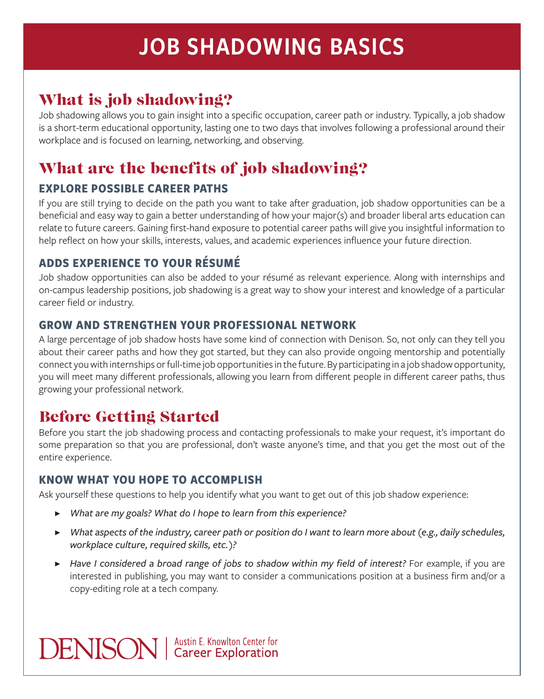# JOB SHADOWING BASICS

# What is job shadowing?

Job shadowing allows you to gain insight into a specific occupation, career path or industry. Typically, a job shadow is a short-term educational opportunity, lasting one to two days that involves following a professional around their workplace and is focused on learning, networking, and observing.

# What are the benefits of job shadowing?

#### **EXPLORE POSSIBLE CAREER PATHS**

If you are still trying to decide on the path you want to take after graduation, job shadow opportunities can be a beneficial and easy way to gain a better understanding of how your major(s) and broader liberal arts education can relate to future careers. Gaining first-hand exposure to potential career paths will give you insightful information to help reflect on how your skills, interests, values, and academic experiences influence your future direction.

#### **ADDS EXPERIENCE TO YOUR RÉSUMÉ**

Job shadow opportunities can also be added to your résumé as relevant experience. Along with internships and on-campus leadership positions, job shadowing is a great way to show your interest and knowledge of a particular career field or industry.

#### **GROW AND STRENGTHEN YOUR PROFESSIONAL NETWORK**

A large percentage of job shadow hosts have some kind of connection with Denison. So, not only can they tell you about their career paths and how they got started, but they can also provide ongoing mentorship and potentially connect you with internships or full-time job opportunities in the future. By participating in a job shadow opportunity, you will meet many different professionals, allowing you learn from different people in different career paths, thus growing your professional network.

# Before Getting Started

Before you start the job shadowing process and contacting professionals to make your request, it's important do some preparation so that you are professional, don't waste anyone's time, and that you get the most out of the entire experience.

#### **KNOW WHAT YOU HOPE TO ACCOMPLISH**

Ask yourself these questions to help you identify what you want to get out of this job shadow experience:

- ▶ *What are my goals? What do I hope to learn from this experience?*
- ▶ *What aspects of the industry, career path or position do I want to learn more about (e.g., daily schedules, workplace culture, required skills, etc.)?*
- ▶ *Have I considered a broad range of jobs to shadow within my field of interest?* For example, if you are interested in publishing, you may want to consider a communications position at a business firm and/or a copy-editing role at a tech company.

**DENISON** | Austin E. Knowlton Center for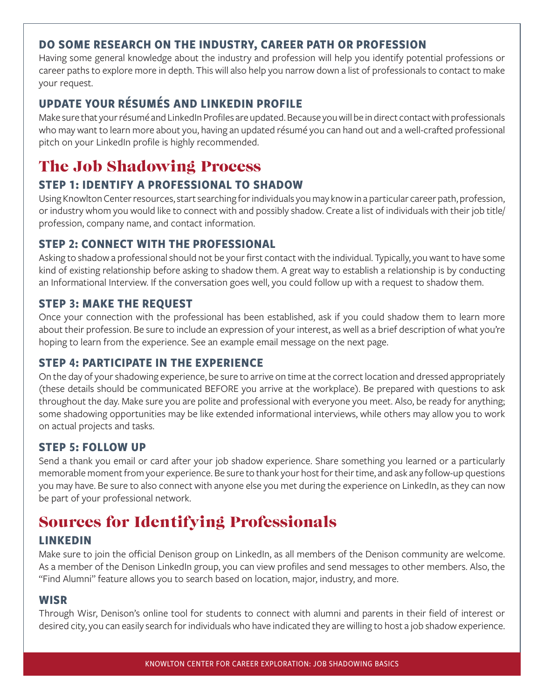#### **DO SOME RESEARCH ON THE INDUSTRY, CAREER PATH OR PROFESSION**

Having some general knowledge about the industry and profession will help you identify potential professions or career paths to explore more in depth. This will also help you narrow down a list of professionals to contact to make your request.

#### **UPDATE YOUR RÉSUMÉS AND LINKEDIN PROFILE**

Make sure that your résumé and LinkedIn Profiles are updated. Because you will be in direct contact with professionals who may want to learn more about you, having an updated résumé you can hand out and a well-crafted professional pitch on your LinkedIn profile is highly recommended.

# The Job Shadowing Process

#### **STEP 1: IDENTIFY A PROFESSIONAL TO SHADOW**

Using Knowlton Center resources, start searching for individuals you may know in a particular career path, profession, or industry whom you would like to connect with and possibly shadow. Create a list of individuals with their job title/ profession, company name, and contact information.

#### **STEP 2: CONNECT WITH THE PROFESSIONAL**

Asking to shadow a professional should not be your first contact with the individual. Typically, you want to have some kind of existing relationship before asking to shadow them. A great way to establish a relationship is by conducting an Informational Interview. If the conversation goes well, you could follow up with a request to shadow them.

#### **STEP 3: MAKE THE REQUEST**

Once your connection with the professional has been established, ask if you could shadow them to learn more about their profession. Be sure to include an expression of your interest, as well as a brief description of what you're hoping to learn from the experience. See an example email message on the next page.

#### **STEP 4: PARTICIPATE IN THE EXPERIENCE**

On the day of your shadowing experience, be sure to arrive on time at the correct location and dressed appropriately (these details should be communicated BEFORE you arrive at the workplace). Be prepared with questions to ask throughout the day. Make sure you are polite and professional with everyone you meet. Also, be ready for anything; some shadowing opportunities may be like extended informational interviews, while others may allow you to work on actual projects and tasks.

#### **STEP 5: FOLLOW UP**

Send a thank you email or card after your job shadow experience. Share something you learned or a particularly memorable moment from your experience. Be sure to thank your host for their time, and ask any follow-up questions you may have. Be sure to also connect with anyone else you met during the experience on LinkedIn, as they can now be part of your professional network.

### Sources for Identifying Professionals

#### **LINKEDIN**

Make sure to join the official Denison group on LinkedIn, as all members of the Denison community are welcome. As a member of the Denison LinkedIn group, you can view profiles and send messages to other members. Also, the "Find Alumni" feature allows you to search based on location, major, industry, and more.

#### **WISR**

Through Wisr, Denison's online tool for students to connect with alumni and parents in their field of interest or desired city, you can easily search for individuals who have indicated they are willing to host a job shadow experience.